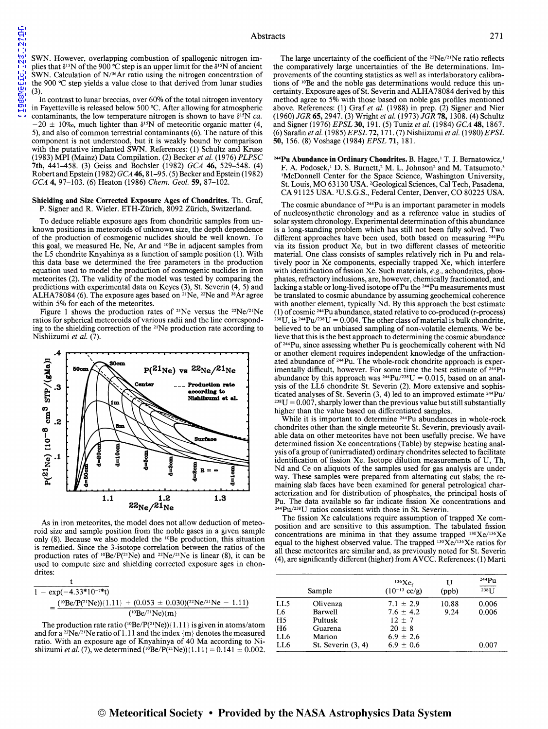SWN. However, overlapping combustion of spallogenic nitrogen implies that  $\delta^{15}N$  of the 900 °C step is an upper limit for the  $\delta^{15}N$  of ancient SWN. Calculation of N/36Ar ratio using the nitrogen concentration of the 900 °C step yields a value close to that derived from lunar studies  $(3)$ 

In contrast to lunar breccias, over 60% of the total nitrogen inventory in Fayetteville is released below 500 °C. After allowing for atmospheric contaminants, the low temperature nitrogen is shown to have  $\delta^{15}N$  *ca*.  $-20 \pm 10\%$ , much lighter than  $\delta^{15}N$  of meteoritic organic matter (4, S), and also of common terrestrial contaminants (6). The nature of this component is not understood, but it is weakly bound by comparison with the putative implanted SWN. References: (1) Schultz and Kruse (1983) MPI (Mainz) Data Compilation. (2) Becker *et al.* (1976) *PLPSC*  7th, 441-4S8. (3) Geiss and Bochsler (1982) *GCA* 46, S29-S48. (4) RobertandEpstein(l 982) *GCA46,* 81-9S. (S) Becker and Epstein(l982) *GCA* 4, 97-103. (6) Heaton (1986) *Chem. Geo!.* 59, 87-102.

## Shielding and Size Corrected Exposure Ages of Chondrites. Th. Graf, P. Signer and R. Wieler. ETH-Ziirich, 8092 Ziirich, Switzerland.

To deduce reliable exposure ages from chondritic samples from unknown positions in meteoroids of unknown size, the depth dependence of the production of cosmogenic nuclides should be well known. To this goal, we measured He, Ne, Ar and 10Be in adjacent samples from the LS chondrite Knyahinya as a function of sample position (I). With this data base we determined the free parameters in the production equation used to model the production of cosmogenic nuclides in iron meteorites (2). The validity of the model was tested by comparing the predictions with experimental data on Keyes (3), St. Severin (4, S) and ALHA78084 (6). The exposure ages based on <sup>21</sup>Ne, <sup>22</sup>Ne and <sup>38</sup>Ar agree within S% for each of the meteorites.

Figure 1 shows the production rates of <sup>21</sup>Ne versus the <sup>22</sup>Ne/<sup>21</sup>Ne ratios for spherical meteoroids of various radii and the line corresponding to the shielding correction of the 21Ne production rate according to Nishiizumi *et al.* (7).



As in iron meteorites, the model does not allow deduction of meteoroid size and sample position from the noble gases in a given sample only (8). Because we also modeled the 10Be production, this situation is remedied. Since the 3-isotope correlation between the ratios of the production rates of  ${}^{10}Be/P({}^{21}Ne)$  and  ${}^{22}Ne/{}^{21}Ne$  is linear (8), it can be used to compute size and shielding corrected exposure ages in chondrites:

| $1 - \exp(-4.33*10^{-7}$ *t) |                                                                                             |
|------------------------------|---------------------------------------------------------------------------------------------|
|                              | $(^{10}Be/P(^{21}Ne))$ {1.11} + (0.053 ± 0.030)( <sup>22</sup> Ne/ <sup>21</sup> Ne - 1.11) |
|                              | $(^{10}Be/^{21}Ne){m}$                                                                      |

The production rate ratio ( $^{10}Be/P(^{21}Ne)$ ){1.11} is given in atoms/atom and for a <sup>22</sup>Ne/<sup>21</sup>Ne ratio of 1.11 and the index  ${m}$  denotes the measured ratio. With an exposure age of Knyahinya of 40 Ma according to Nishiizumi *et al.* (7), we determined (<sup>10</sup>Be/P(<sup>21</sup>Ne)){ $1.11$ } = 0.141  $\pm$  0.002.

The large uncertainty of the coefficient of the 22Ne/21Ne ratio reflects the comparatively large uncertainties of the Be determinations. Improvements of the counting statistics as well as interlaboratory calibrations of 10Be and the noble gas determinations would reduce this uncertainty. Exposure ages of St. Severin and ALHA 78084 derived by this method agree to S% with those based on noble gas profiles mentioned above. References: (1) Graf et al. (1988) in prep. (2) Signer and Nier (1960) *JGR* 65, 2947. (3) Wright *et al.* (1973) *JGR* 78, 1308. (4) Schultz and Signer (1976) *EPSL* 30, 191. (S) Tuniz *et al.* (1984) *GCA* 48, 1867. (6) Sarafin *et al.* (198S) *EPSL* 72, 171. (7) Nishiizumi *et al.* (1980) *EPSL*  50, 1S6. (8) Voshage (1984) *EPSL* 71, 181.

<sup>244</sup>Pu Abundance in Ordinary Chondrites. B. Hagee,<sup>1</sup> T. J. Bernatowicz,<sup>1</sup> F. A. Podosek,<sup>1</sup> D. S. Burnett,<sup>2</sup> M. L. Johnson<sup>2</sup> and M. Tatsumoto.<sup>3</sup> 1McDonnell Center for the Space Science, Washington University, St. Louis, MO 63130 USA. 'Geological Sciences, Cal Tech, Pasadena, CA 9112S USA. 'U.S.G.S., Federal Center, Denver, CO 8022S USA.

The cosmic abundance of <sup>244</sup>Pu is an important parameter in models of nucleosynthetic chronology and as a reference value in studies of solar system chronology. Experimental determination of this abundance is a long-standing problem which has still not been fully solved. Two different approaches have been used, both based on measuring 244Pu via its fission product Xe, but in two different classes of meteoritic material. One class consists of samples relatively rich in Pu and relatively poor in Xe components, especially trapped Xe, which interfere with identification of fission Xe. Such materials, *e.g.*, achondrites, phosphates, refractory inclusions, are, however, chemically fractionated, and lacking a stable or long-lived isotope of Pu the <sup>244</sup>Pu measurements must be translated to cosmic abundance by assuming geochemical coherence with another element, typically Nd. By this approach the best estimate (1) of cosmic  $244$ Pu abundance, stated relative to co-produced (r-process) <sup>238</sup>U, is <sup>244</sup>Pu/<sup>238</sup>U = 0.004. The other class of material is bulk chondrite, believed to be an unbiased sampling of non-volatile elements. We believe that this is the best approach to determining the cosmic abundance of <sup>244</sup>Pu, since assessing whether Pu is geochemically coherent with Nd or another element requires independent knowledge of the unfractionated abundance of 244Pu. The whole-rock chondrite approach is experimentally difficult, however. For some time the best estimate of <sup>244</sup>Pu abundance by this approach was  $^{244}Pu^{238}U = 0.015$ , based on an analysis of the LL6 chondrite St. Severin (2). More extensive and sophisticated analyses of St. Severin (3, 4) led to an improved estimate  $^{244}Pu/$  $t^{238}U = 0.007$ , sharply lower than the previous value but still substantially higher than the value based on differentiated samples.

While it is important to determine <sup>244</sup>Pu abundances in whole-rock chondrites other than the single meteorite St. Severin, previously available data on other meteorites have not been usefully precise. We have determined fission Xe concentrations (Table) by stepwise heating analysis of a group of (unirradiated) ordinary chondrites selected to facilitate identification of fission Xe. Isotope dilution measurements of U, Th, Nd and Ce on aliquots of the samples used for gas analysis are under way. These samples were prepared from alternating cut slabs; the remaining slab faces have been examined for general petrological characterization and for distribution of phosphates, the principal hosts of Pu. The data available so far indicate fission Xe concentrations and 244Pu/238U ratios consistent with those in St. Severin.

The fission Xe calculations require assumption of trapped Xe composition and are sensitive to this assumption. The tabulated fission concentrations are minima in that they assume trapped  $^{130}Xe^{1136}Xe$ equal to the highest observed value. The trapped  $^{130}\text{Xe}$ /136Xe ratios for all these meteorites are similar and, as previously noted for St. Severin (4), are significantly different (higher) from AVCC. References: (1) Marti

|                 | Sample               | 136Xe <sub>f</sub><br>$(10^{-13}$ cc/g) | U<br>(ppb) | 244P <sub>u</sub><br>$238$ <sup>T</sup> |
|-----------------|----------------------|-----------------------------------------|------------|-----------------------------------------|
| LL5             | Olivenza             | $7.1 \pm 2.9$                           | 10.88      | 0.006                                   |
| L6              | <b>Barwell</b>       | $7.6 \pm 4.2$                           | 9.24       | 0.006                                   |
| H <sub>5</sub>  | Pultusk              | $12 + 7$                                |            |                                         |
| H <sub>6</sub>  | Guarena              | $20 + 8$                                |            |                                         |
| LL <sub>6</sub> | Marion               | $6.9 \pm 2.6$                           |            |                                         |
| LL6             | St. Severin $(3, 4)$ | $6.9 \pm 0.6$                           |            | 0.007                                   |

## © Meteoritical Society • Provided by the NASA Astrophysics Data System